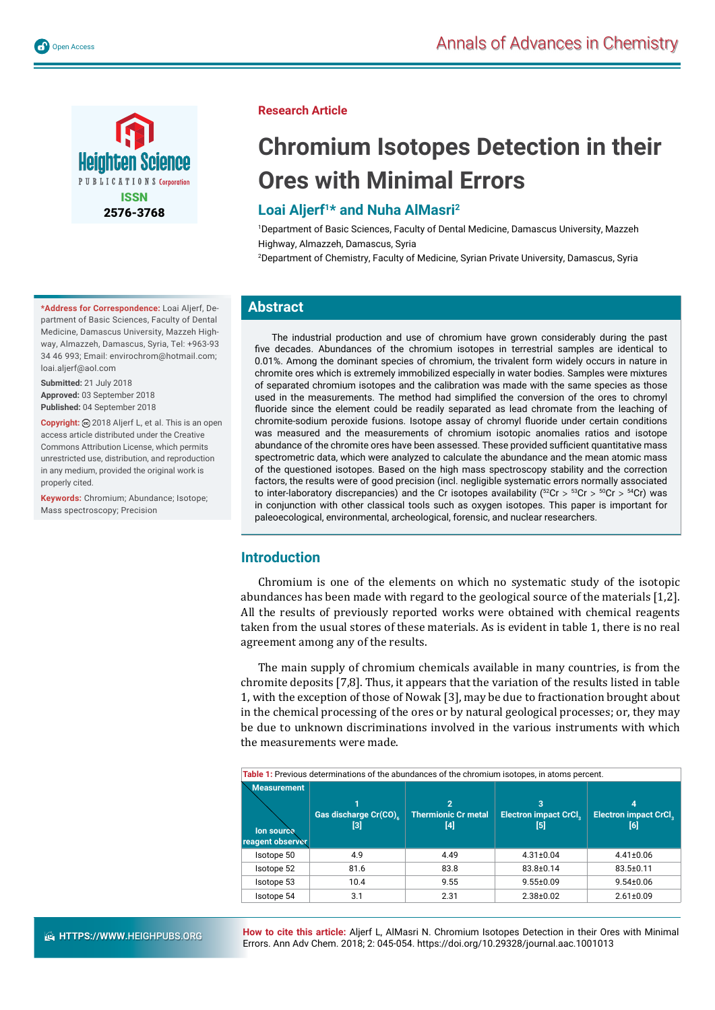



**\*Address for Correspondence:** Loai Aljerf, Department of Basic Sciences, Faculty of Dental Medicine, Damascus University, Mazzeh Highway, Almazzeh, Damascus, Syria, Tel: +963-93 34 46 993; Email: envirochrom@hotmail.com; loai.aljerf@aol.com

**Submitted:** 21 July 2018 **Approved:** 03 September 2018 **Published:** 04 September 2018

**Copyright:** 2018 Aljerf L, et al. This is an open access article distributed under the Creative Commons Attribution License, which permits unrestricted use, distribution, and reproduction in any medium, provided the original work is properly cited.

**Keywords:** Chromium; Abundance; Isotope; Mass spectroscopy; Precision

## **Research Article**

# **Chromium Isotopes Detection in their Ores with Minimal Errors**

## **Loai Aljerf1\* and Nuha AlMasri2**

1 Department of Basic Sciences, Faculty of Dental Medicine, Damascus University, Mazzeh Highway, Almazzeh, Damascus, Syria

2 Department of Chemistry, Faculty of Medicine, Syrian Private University, Damascus, Syria

## **Abstract**

The industrial production and use of chromium have grown considerably during the past five decades. Abundances of the chromium isotopes in terrestrial samples are identical to 0.01%. Among the dominant species of chromium, the trivalent form widely occurs in nature in chromite ores which is extremely immobilized especially in water bodies. Samples were mixtures of separated chromium isotopes and the calibration was made with the same species as those used in the measurements. The method had simplified the conversion of the ores to chromyl fluoride since the element could be readily separated as lead chromate from the leaching of chromite-sodium peroxide fusions. Isotope assay of chromyl fluoride under certain conditions was measured and the measurements of chromium isotopic anomalies ratios and isotope abundance of the chromite ores have been assessed. These provided sufficient quantitative mass spectrometric data, which were analyzed to calculate the abundance and the mean atomic mass of the questioned isotopes. Based on the high mass spectroscopy stability and the correction factors, the results were of good precision (incl. negligible systematic errors normally associated to inter-laboratory discrepancies) and the Cr isotopes availability (52Cr **>** 53Cr **>** 50Cr **>** 54Cr) was in conjunction with other classical tools such as oxygen isotopes. This paper is important for paleoecological, environmental, archeological, forensic, and nuclear researchers.

## **Introduction**

Chromium is one of the elements on which no systematic study of the isotopic abundances has been made with regard to the geological source of the materials [1,2]. All the results of previously reported works were obtained with chemical reagents taken from the usual stores of these materials. As is evident in table 1, there is no real agreement among any of the results.

The main supply of chromium chemicals available in many countries, is from the chromite deposits [7,8]. Thus, it appears that the variation of the results listed in table 1, with the exception of those of Nowak [3], may be due to fractionation brought about in the chemical processing of the ores or by natural geological processes; or, they may be due to unknown discriminations involved in the various instruments with which the measurements were made.

**Table 1:** Previous determinations of the abundances of the chromium isotopes, in atoms percent.

| <b>Measurement</b><br>lon source<br>reagent observer | Gas discharge Cr(CO)<br>[3] | $\overline{2}$<br><b>Thermionic Cr metal</b><br>[4] | з<br><b>Electron impact CrCl,</b><br>[5] | 4<br><b>Electron impact CrCl.</b><br>[6] |
|------------------------------------------------------|-----------------------------|-----------------------------------------------------|------------------------------------------|------------------------------------------|
| Isotope 50                                           | 4.9                         | 4.49                                                | $4.31 \pm 0.04$                          | $4.41 \pm 0.06$                          |
| Isotope 52                                           | 81.6                        | 83.8                                                | 83.8±0.14                                | 83.5±0.11                                |
| Isotope 53                                           | 10.4                        | 9.55                                                | $9.55 \pm 0.09$                          | $9.54 \pm 0.06$                          |
| Isotope 54                                           | 3.1                         | 2.31                                                | $2.38 + 0.02$                            | $2.61 \pm 0.09$                          |

**How to cite this article:** Aljerf L, AlMasri N. Chromium Isotopes Detection in their Ores with Minimal Errors. Ann Adv Chem. 2018; 2: 045-054. https://doi.org/10.29328/journal.aac.1001013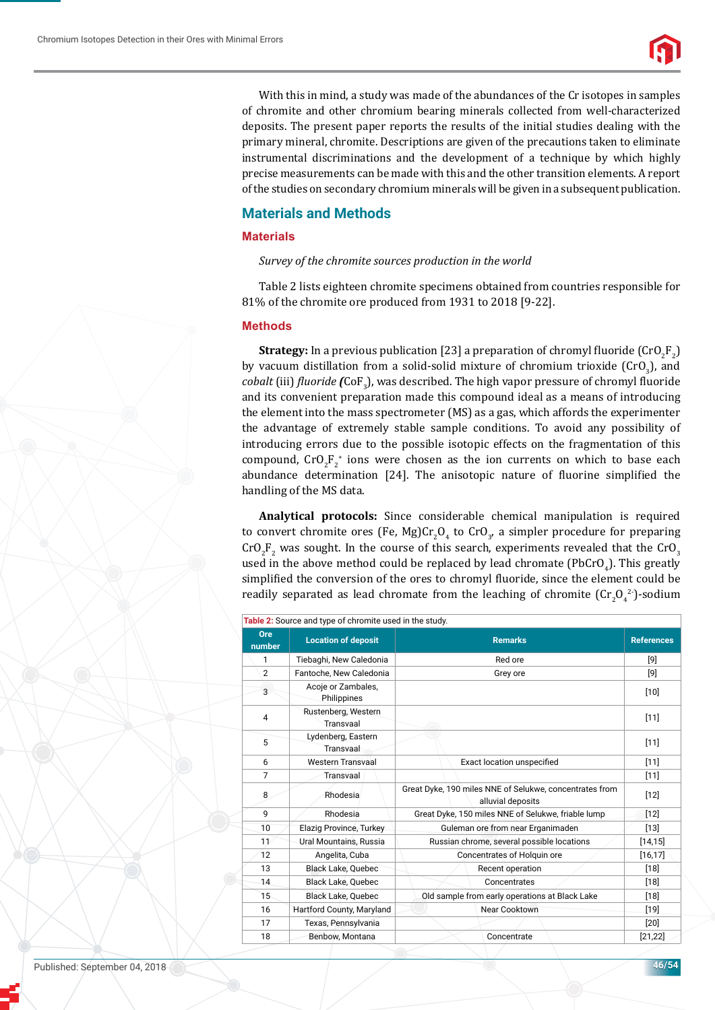

With this in mind, a study was made of the abundances of the Cr isotopes in samples of chromite and other chromium bearing minerals collected from well-characterized deposits. The present paper reports the results of the initial studies dealing with the primary mineral, chromite. Descriptions are given of the precautions taken to eliminate instrumental discriminations and the development of a technique by which highly precise measurements can be made with this and the other transition elements. A report of the studies on secondary chromium minerals will be given in a subsequent publication.

## **Materials and Methods**

### **Materials**

*Survey of the chromite sources production in the world* 

Table 2 lists eighteen chromite specimens obtained from countries responsible for 81% of the chromite ore produced from 1931 to 2018 [9-22].

#### **Methods**

**Strategy:** In a previous publication [23] a preparation of chromyl fluoride  $(CrO_2F_2)$ by vacuum distillation from a solid-solid mixture of chromium trioxide  $(CrO<sub>3</sub>)$ , and *cobalt* (iii) *ϔluoride (*CoF3 ), was described. The high vapor pressure of chromyl ϐluoride and its convenient preparation made this compound ideal as a means of introducing the element into the mass spectrometer (MS) as a gas, which affords the experimenter the advantage of extremely stable sample conditions. To avoid any possibility of introducing errors due to the possible isotopic effects on the fragmentation of this compound,  $\text{CrO}_2\text{F}_2^*$  ions were chosen as the ion currents on which to base each abundance determination [24]. The anisotopic nature of fluorine simplified the handling of the MS data.

**Analytical protocols:** Since considerable chemical manipulation is required to convert chromite ores (Fe, Mg)Cr<sub>2</sub>O<sub>4</sub> to CrO<sub>3</sub>, a simpler procedure for preparing  $\text{CrO}_2\text{F}_2$  was sought. In the course of this search, experiments revealed that the  $\text{CrO}_3$ used in the above method could be replaced by lead chromate (PbCrO<sub>4</sub>). This greatly simplified the conversion of the ores to chromyl fluoride, since the element could be readily separated as lead chromate from the leaching of chromite  $(\text{Cr}_2\text{O}_4^2)$ -sodium

|               | Table 2: Source and type of chromite used in the study. |                                                                              |                   |
|---------------|---------------------------------------------------------|------------------------------------------------------------------------------|-------------------|
| Ore<br>number | <b>Location of deposit</b>                              | <b>Remarks</b>                                                               | <b>References</b> |
| 1             | Tiebaghi, New Caledonia                                 | Red ore                                                                      | [9]               |
| 2             | Fantoche, New Caledonia                                 | Grey ore                                                                     | [9]               |
| 3             | Acoje or Zambales,<br>Philippines                       |                                                                              | $[10]$            |
| 4             | Rustenberg, Western<br>Transvaal                        |                                                                              | $[11]$            |
| 5             | Lydenberg, Eastern<br>Transvaal                         |                                                                              | [11]              |
| 6             | <b>Western Transvaal</b>                                | Exact location unspecified                                                   | $[11]$            |
| 7             | Transvaal                                               |                                                                              | $[11]$            |
| 8             | Rhodesia                                                | Great Dyke, 190 miles NNE of Selukwe, concentrates from<br>alluvial deposits | [12]              |
| 9             | Rhodesia                                                | Great Dyke, 150 miles NNE of Selukwe, friable lump                           | $[12]$            |
| 10            | Elazig Province, Turkey                                 | Guleman ore from near Erganimaden                                            | $[13]$            |
| 11            | Ural Mountains, Russia                                  | Russian chrome, several possible locations                                   | [14, 15]          |
| 12            | Angelita, Cuba                                          | Concentrates of Holguin ore                                                  | [16, 17]          |
| 13            | <b>Black Lake, Quebec</b>                               | Recent operation                                                             | $[18]$            |
| 14            | <b>Black Lake, Ouebec</b>                               | Concentrates                                                                 | [18]              |
| 15            | Black Lake, Quebec                                      | Old sample from early operations at Black Lake                               | $[18]$            |
| 16            | Hartford County, Maryland                               | <b>Near Cooktown</b>                                                         | $[19]$            |
| 17            | Texas, Pennsylvania                                     |                                                                              | [20]              |
| 18            | Benbow, Montana                                         | Concentrate                                                                  | [21, 22]          |

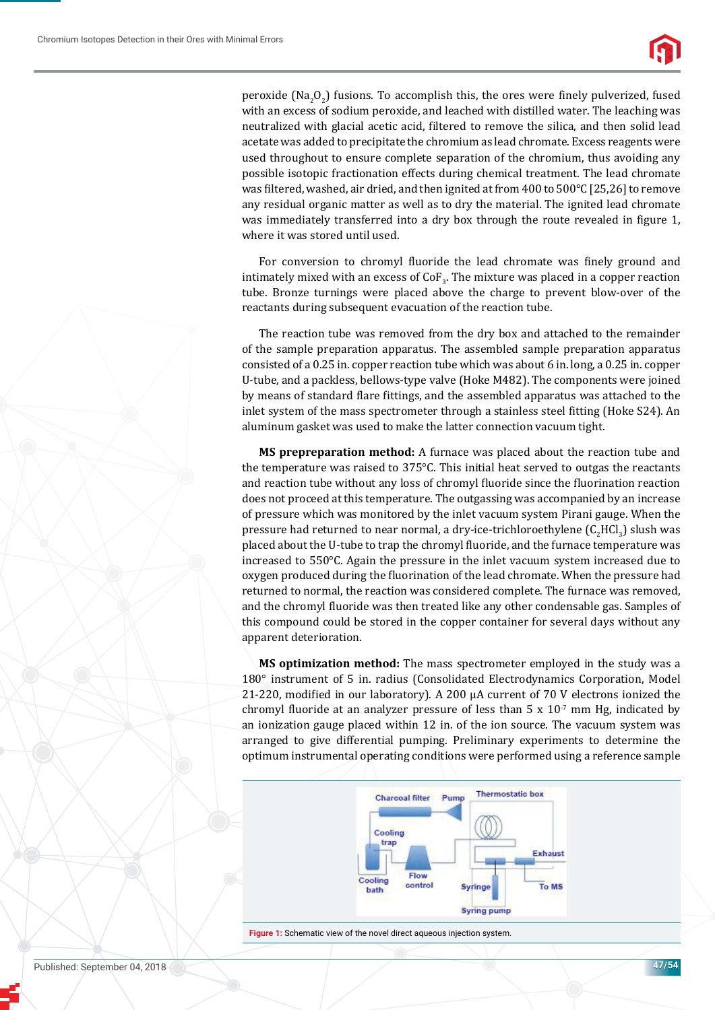

peroxide  $(Na_2O_2)$  fusions. To accomplish this, the ores were finely pulverized, fused with an excess of sodium peroxide, and leached with distilled water. The leaching was neutralized with glacial acetic acid, filtered to remove the silica, and then solid lead acetate was added to precipitate the chromium as lead chromate. Excess reagents were used throughout to ensure complete separation of the chromium, thus avoiding any possible isotopic fractionation effects during chemical treatment. The lead chromate was filtered, washed, air dried, and then ignited at from 400 to 500 $^{\circ}$ C [25,26] to remove any residual organic matter as well as to dry the material. The ignited lead chromate was immediately transferred into a dry box through the route revealed in figure 1, where it was stored until used.

For conversion to chromyl fluoride the lead chromate was finely ground and intimately mixed with an excess of  $\text{CoF}_3$ . The mixture was placed in a copper reaction tube. Bronze turnings were placed above the charge to prevent blow-over of the reactants during subsequent evacuation of the reaction tube.

The reaction tube was removed from the dry box and attached to the remainder of the sample preparation apparatus. The assembled sample preparation apparatus consisted of a 0.25 in. copper reaction tube which was about 6 in. long, a 0.25 in. copper U-tube, and a packless, bellows-type valve (Hoke M482). The components were joined by means of standard flare fittings, and the assembled apparatus was attached to the inlet system of the mass spectrometer through a stainless steel fitting (Hoke S24). An aluminum gasket was used to make the latter connection vacuum tight.

**MS prepreparation method:** A furnace was placed about the reaction tube and the temperature was raised to 375°C. This initial heat served to outgas the reactants and reaction tube without any loss of chromyl fluoride since the fluorination reaction does not proceed at this temperature. The outgassing was accompanied by an increase of pressure which was monitored by the inlet vacuum system Pirani gauge. When the pressure had returned to near normal, a dry-ice-trichloroethylene  $(C_2\mathrm{HCl}_3)$  slush was placed about the U-tube to trap the chromyl fluoride, and the furnace temperature was increased to 550°C. Again the pressure in the inlet vacuum system increased due to oxygen produced during the fluorination of the lead chromate. When the pressure had returned to normal, the reaction was considered complete. The furnace was removed, and the chromyl fluoride was then treated like any other condensable gas. Samples of this compound could be stored in the copper container for several days without any apparent deterioration.

**MS optimization method:** The mass spectrometer employed in the study was a 180° instrument of 5 in. radius (Consolidated Electrodynamics Corporation, Model 21-220, modified in our laboratory). A 200  $\mu$ A current of 70 V electrons ionized the chromyl fluoride at an analyzer pressure of less than  $5 \times 10^{-7}$  mm Hg, indicated by an ionization gauge placed within 12 in. of the ion source. The vacuum system was arranged to give differential pumping. Preliminary experiments to determine the optimum instrumental operating conditions were performed using a reference sample



**Figure 1:** Schematic view of the novel direct aqueous injection system.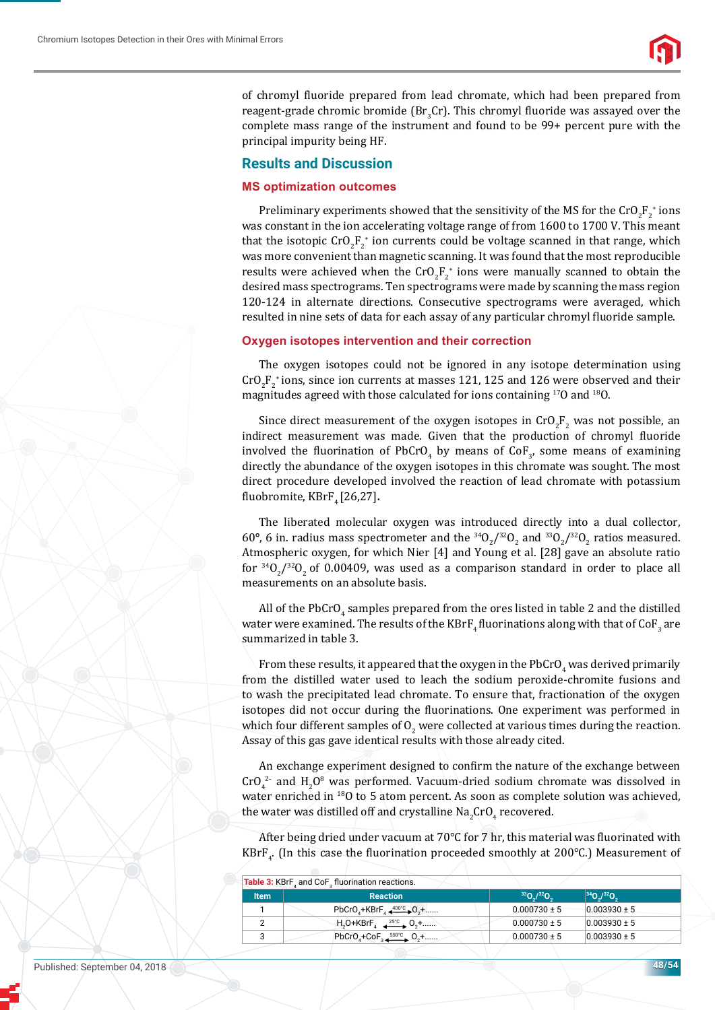

of chromyl fluoride prepared from lead chromate, which had been prepared from reagent-grade chromic bromide ( $Br_3Cr$ ). This chromyl fluoride was assayed over the complete mass range of the instrument and found to be 99+ percent pure with the principal impurity being HF.

## **Results and Discussion**

#### **MS optimization outcomes**

Preliminary experiments showed that the sensitivity of the MS for the  $\text{CrO}_2\text{F}_2^+$  ions was constant in the ion accelerating voltage range of from 1600 to 1700 V. This meant that the isotopic  $\text{CrO}_2\text{F}_2^{\text{+}}$  ion currents could be voltage scanned in that range, which was more convenient than magnetic scanning. It was found that the most reproducible results were achieved when the  $\text{CrO}_2\text{F}_2^+$  ions were manually scanned to obtain the desired mass spectrograms. Ten spectrograms were made by scanning the mass region 120-124 in alternate directions. Consecutive spectrograms were averaged, which resulted in nine sets of data for each assay of any particular chromyl fluoride sample.

## **Oxygen isotopes intervention and their correction**

The oxygen isotopes could not be ignored in any isotope determination using  $\text{CrO}_2\text{F}_2^*$  ions, since ion currents at masses 121, 125 and 126 were observed and their magnitudes agreed with those calculated for ions containing 17O and 18O.

Since direct measurement of the oxygen isotopes in  $CrO_2F_2$  was not possible, an indirect measurement was made. Given that the production of chromyl fluoride involved the fluorination of PbCrO<sub>4</sub> by means of CoF<sub>3</sub>, some means of examining directly the abundance of the oxygen isotopes in this chromate was sought. The most direct procedure developed involved the reaction of lead chromate with potassium fluobromite, KBrF<sub>4</sub> [26,27].

The liberated molecular oxygen was introduced directly into a dual collector, 60°, 6 in. radius mass spectrometer and the  $^{34}O_2/^{32}O_2$  and  $^{33}O_2/^{32}O_2$  ratios measured. Atmospheric oxygen, for which Nier [4] and Young et al. [28] gave an absolute ratio for  $34O_2/32O_2$  of 0.00409, was used as a comparison standard in order to place all measurements on an absolute basis.

All of the PbCrO<sub>4</sub> samples prepared from the ores listed in table 2 and the distilled water were examined. The results of the  $\mathrm{KBrF}_4$  fluorinations along with that of Co $\mathrm{F}_3$  are summarized in table 3.

From these results, it appeared that the oxygen in the  $\mathrm{PbCrO}_4$  was derived primarily from the distilled water used to leach the sodium peroxide-chromite fusions and to wash the precipitated lead chromate. To ensure that, fractionation of the oxygen isotopes did not occur during the fluorinations. One experiment was performed in which four different samples of  $0_{_2}$  were collected at various times during the reaction. Assay of this gas gave identical results with those already cited.

An exchange experiment designed to confirm the nature of the exchange between  $\text{CrO}_4^2$  and  $\text{H}_2\text{O}^8$  was performed. Vacuum-dried sodium chromate was dissolved in water enriched in 18O to 5 atom percent. As soon as complete solution was achieved, the water was distilled off and crystalline  $\operatorname{\sf Na}_2\!\operatorname{\sf Cro}_4$  recovered.

After being dried under vacuum at  $70^{\circ}$ C for 7 hr, this material was fluorinated with KBrF<sub>4</sub>. (In this case the fluorination proceeded smoothly at 200°C.) Measurement of

| <b>Table 3: KBrF</b> , and CoF, fluorination reactions. |                                                                      |                  |                                     |  |  |
|---------------------------------------------------------|----------------------------------------------------------------------|------------------|-------------------------------------|--|--|
| <b>Item</b>                                             | <b>Reaction</b>                                                      | $330/320$ ,      | $ ^{34}O_{\gamma}/^{32}O_{\gamma} $ |  |  |
|                                                         | PbCrO <sub>4</sub> +KBrF <sub>4</sub> $400^{\circ}$ C <sub>2</sub> + | $0.000730 \pm 5$ | $0.003930 \pm 5$                    |  |  |
|                                                         | $H_2O+KBrF_4 = \frac{25°C}{c} 0, + \dots$                            | $0.000730 \pm 5$ | $0.003930 \pm 5$                    |  |  |
|                                                         | $PbCrOA+CoF3$ $550°C$ $O2+$                                          | $0.000730 \pm 5$ | $0.003930 \pm 5$                    |  |  |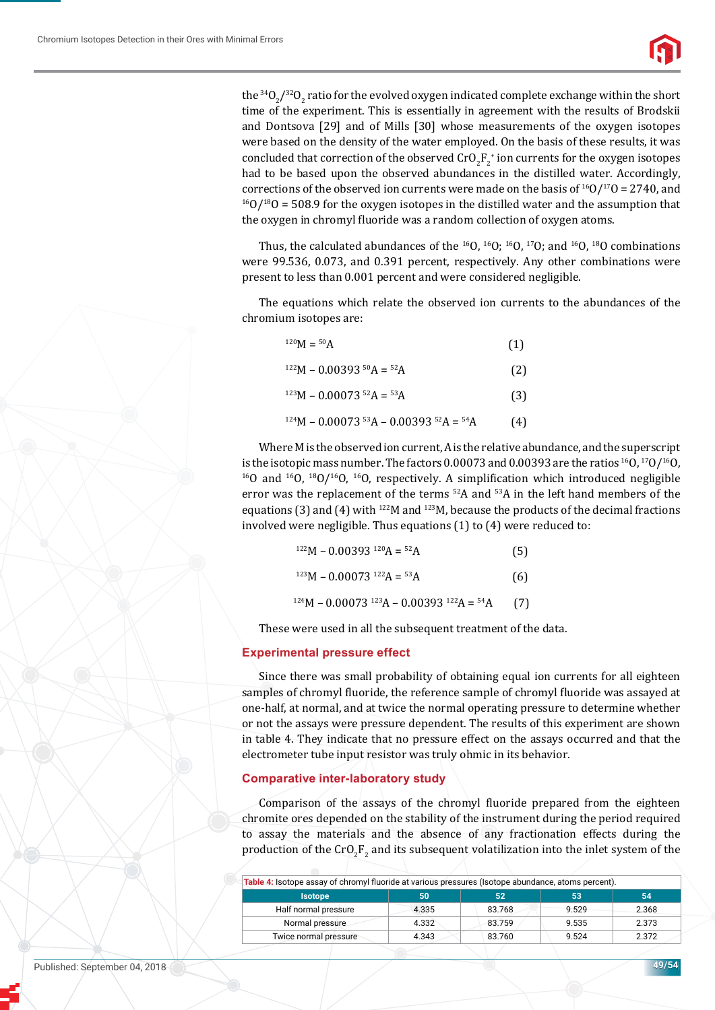

the  $^{34}O_{2}/^{32}O_{2}$  ratio for the evolved oxygen indicated complete exchange within the short time of the experiment. This is essentially in agreement with the results of Brodskii and Dontsova [29] and of Mills [30] whose measurements of the oxygen isotopes were based on the density of the water employed. On the basis of these results, it was concluded that correction of the observed  $\mathrm{CrO}_{2}\mathrm{F}_{2}^{\ast}$  ion currents for the oxygen isotopes had to be based upon the observed abundances in the distilled water. Accordingly, corrections of the observed ion currents were made on the basis of <sup>16</sup>O/<sup>17</sup>O = 2740, and <sup>16</sup>O/<sup>18</sup>O = 508.9 for the oxygen isotopes in the distilled water and the assumption that the oxygen in chromyl fluoride was a random collection of oxygen atoms.

Thus, the calculated abundances of the  $^{16}O$ ,  $^{16}O$ ;  $^{16}O$ ,  $^{17}O$ ; and  $^{16}O$ ,  $^{18}O$  combinations were 99.536, 0.073, and 0.391 percent, respectively. Any other combinations were present to less than 0.001 percent and were considered negligible.

The equations which relate the observed ion currents to the abundances of the chromium isotopes are:

| $^{120}M = {}^{50}A$                   | (1) |
|----------------------------------------|-----|
| $122M - 0.0039350A = 52A$              | (2) |
| $123M - 0.00073$ $52A = 53A$           | (3) |
| $124M - 0.0007353A - 0.0039352A = 54A$ | (4) |

Where M is the observed ion current, A is the relative abundance, and the superscript is the isotopic mass number. The factors 0.00073 and 0.00393 are the ratios <sup>16</sup>O, <sup>17</sup>O/<sup>16</sup>O, <sup>16</sup>O and <sup>16</sup>O, <sup>18</sup>O/<sup>16</sup>O, respectively. A simplification which introduced negligible error was the replacement of the terms 52A and 53A in the left hand members of the equations (3) and (4) with  $^{122}M$  and  $^{123}M$ , because the products of the decimal fractions involved were negligible. Thus equations (1) to (4) were reduced to:

| $122M - 0.00393$ $120A = 52A$                  | (5)  |
|------------------------------------------------|------|
| $123M - 0.00073$ $122A = 53A$                  | (6)  |
| $124M - 0.00073$ $123A - 0.00393$ $122A = 54A$ | -67) |

These were used in all the subsequent treatment of the data.

#### **Experimental pressure effect**

Since there was small probability of obtaining equal ion currents for all eighteen samples of chromyl fluoride, the reference sample of chromyl fluoride was assayed at one-half, at normal, and at twice the normal operating pressure to determine whether or not the assays were pressure dependent. The results of this experiment are shown in table 4. They indicate that no pressure effect on the assays occurred and that the electrometer tube input resistor was truly ohmic in its behavior.

#### **Comparative inter-laboratory study**

Comparison of the assays of the chromyl fluoride prepared from the eighteen chromite ores depended on the stability of the instrument during the period required to assay the materials and the absence of any fractionation effects during the production of the  $\text{CrO}_2\text{F}_2$  and its subsequent volatilization into the inlet system of the

| <b>Isotope</b>        | 50    | 52     | 53    | 54    |
|-----------------------|-------|--------|-------|-------|
|                       |       |        |       |       |
| Half normal pressure  | 4.335 | 83.768 | 9.529 | 2.368 |
| Normal pressure       | 4.332 | 83.759 | 9.535 | 2.373 |
| Twice normal pressure | 4.343 | 83.760 | 9.524 | 2.372 |

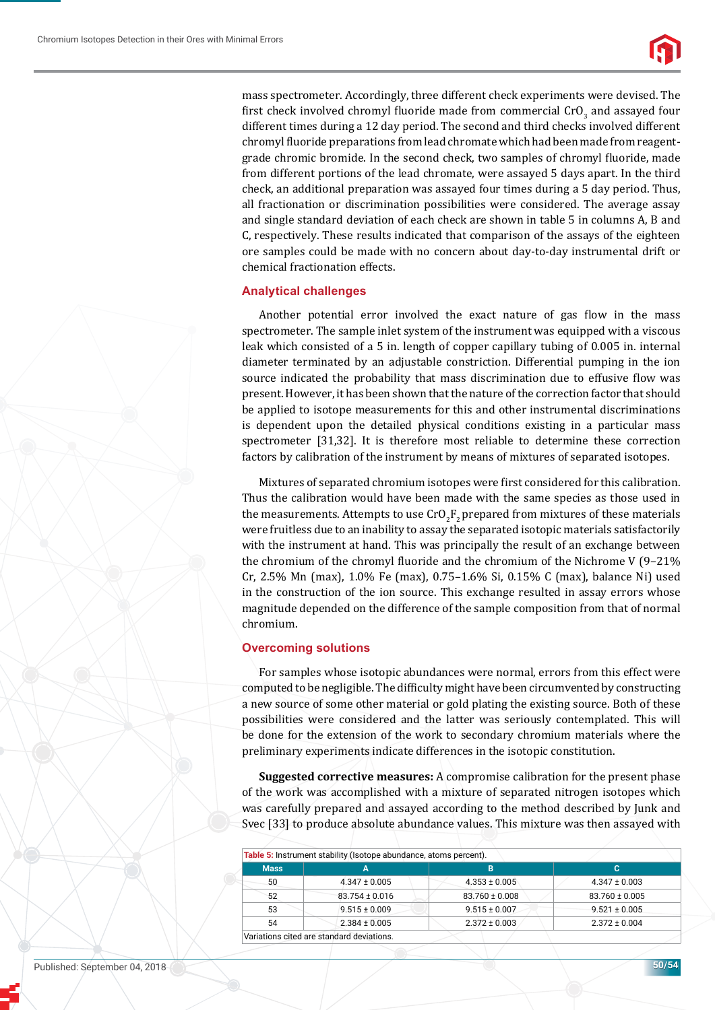

mass spectrometer. Accordingly, three different check experiments were devised. The first check involved chromyl fluoride made from commercial  $\mathtt{CrO}_3$  and assayed four different times during a 12 day period. The second and third checks involved different chromyl fluoride preparations from lead chromate which had been made from reagentgrade chromic bromide. In the second check, two samples of chromyl fluoride, made from different portions of the lead chromate, were assayed 5 days apart. In the third check, an additional preparation was assayed four times during a 5 day period. Thus, all fractionation or discrimination possibilities were considered. The average assay and single standard deviation of each check are shown in table 5 in columns A, B and C, respectively. These results indicated that comparison of the assays of the eighteen ore samples could be made with no concern about day-to-day instrumental drift or chemical fractionation effects.

## **Analytical challenges**

Another potential error involved the exact nature of gas flow in the mass spectrometer. The sample inlet system of the instrument was equipped with a viscous leak which consisted of a 5 in. length of copper capillary tubing of 0.005 in. internal diameter terminated by an adjustable constriction. Differential pumping in the ion source indicated the probability that mass discrimination due to effusive flow was present. However, it has been shown that the nature of the correction factor that should be applied to isotope measurements for this and other instrumental discriminations is dependent upon the detailed physical conditions existing in a particular mass spectrometer [31,32]. It is therefore most reliable to determine these correction factors by calibration of the instrument by means of mixtures of separated isotopes.

Mixtures of separated chromium isotopes were first considered for this calibration. Thus the calibration would have been made with the same species as those used in the measurements. Attempts to use  $\text{CrO}_2\text{F}_2$  prepared from mixtures of these materials were fruitless due to an inability to assay the separated isotopic materials satisfactorily with the instrument at hand. This was principally the result of an exchange between the chromium of the chromyl fluoride and the chromium of the Nichrome V ( $9-21\%$ ) Cr, 2.5% Mn (max), 1.0% Fe (max), 0.75–1.6% Si, 0.15% C (max), balance Ni) used in the construction of the ion source. This exchange resulted in assay errors whose magnitude depended on the difference of the sample composition from that of normal chromium.

## **Overcoming solutions**

For samples whose isotopic abundances were normal, errors from this effect were computed to be negligible. The difficulty might have been circumvented by constructing a new source of some other material or gold plating the existing source. Both of these possibilities were considered and the latter was seriously contemplated. This will be done for the extension of the work to secondary chromium materials where the preliminary experiments indicate differences in the isotopic constitution.

**Suggested corrective measures:** A compromise calibration for the present phase of the work was accomplished with a mixture of separated nitrogen isotopes which was carefully prepared and assayed according to the method described by Junk and Svec [33] to produce absolute abundance values. This mixture was then assayed with

| <b>Mass</b> | А                  | в                  | с                  |
|-------------|--------------------|--------------------|--------------------|
| 50          | $4.347 \pm 0.005$  | $4.353 \pm 0.005$  | $4.347 \pm 0.003$  |
| 52          | $83.754 \pm 0.016$ | $83.760 \pm 0.008$ | $83.760 \pm 0.005$ |
| 53          | $9.515 \pm 0.009$  | $9.515 \pm 0.007$  | $9.521 \pm 0.005$  |
| 54          | $2.384 \pm 0.005$  | $2.372 \pm 0.003$  | $2.372 \pm 0.004$  |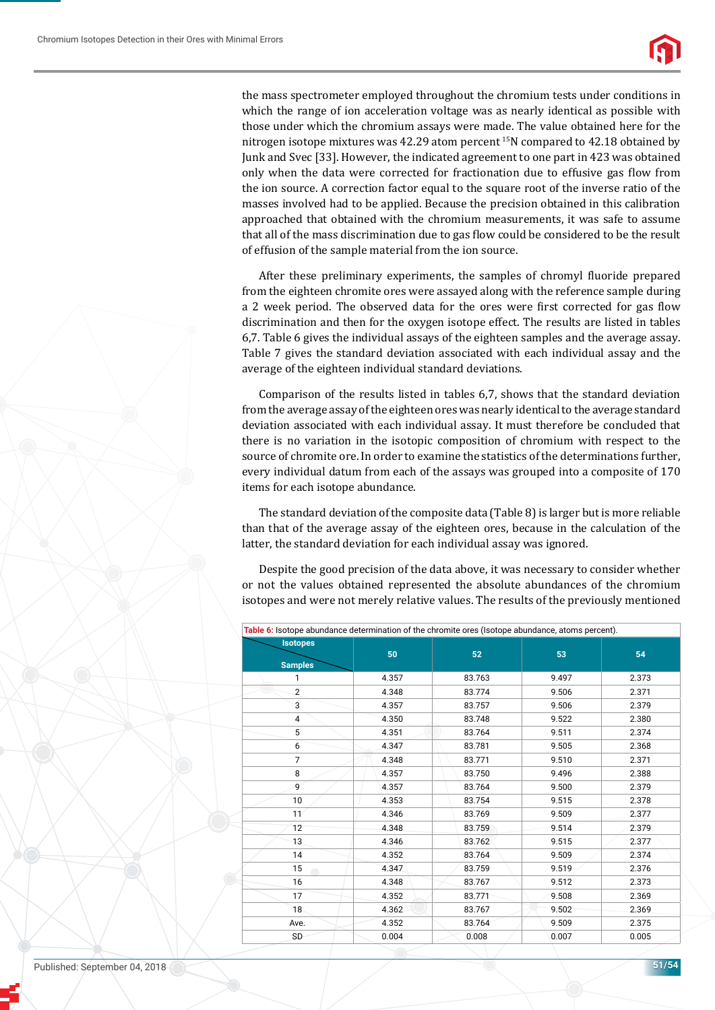

the mass spectrometer employed throughout the chromium tests under conditions in which the range of ion acceleration voltage was as nearly identical as possible with those under which the chromium assays were made. The value obtained here for the nitrogen isotope mixtures was 42.29 atom percent 15N compared to 42.18 obtained by Junk and Svec [33]. However, the indicated agreement to one part in 423 was obtained only when the data were corrected for fractionation due to effusive gas flow from the ion source. A correction factor equal to the square root of the inverse ratio of the masses involved had to be applied. Because the precision obtained in this calibration approached that obtained with the chromium measurements, it was safe to assume that all of the mass discrimination due to gas flow could be considered to be the result of effusion of the sample material from the ion source.

After these preliminary experiments, the samples of chromyl fluoride prepared from the eighteen chromite ores were assayed along with the reference sample during a 2 week period. The observed data for the ores were first corrected for gas flow discrimination and then for the oxygen isotope effect. The results are listed in tables 6,7. Table 6 gives the individual assays of the eighteen samples and the average assay. Table 7 gives the standard deviation associated with each individual assay and the average of the eighteen individual standard deviations.

Comparison of the results listed in tables 6,7, shows that the standard deviation from the average assay of the eighteen ores was nearly identical to the average standard deviation associated with each individual assay. It must therefore be concluded that there is no variation in the isotopic composition of chromium with respect to the source of chromite ore. In order to examine the statistics of the determinations further, every individual datum from each of the assays was grouped into a composite of 170 items for each isotope abundance.

The standard deviation of the composite data (Table 8) is larger but is more reliable than that of the average assay of the eighteen ores, because in the calculation of the latter, the standard deviation for each individual assay was ignored.

Despite the good precision of the data above, it was necessary to consider whether or not the values obtained represented the absolute abundances of the chromium isotopes and were not merely relative values. The results of the previously mentioned

|                                   | Table 6: Isotope abundance determination of the chromite ores (Isotope abundance, atoms percent). |        |       |       |
|-----------------------------------|---------------------------------------------------------------------------------------------------|--------|-------|-------|
| <b>Isotopes</b><br><b>Samples</b> | 50                                                                                                | 52     | 53    | 54    |
| 1                                 | 4.357                                                                                             | 83.763 | 9.497 | 2.373 |
| $\overline{2}$                    | 4.348                                                                                             | 83.774 | 9.506 | 2.371 |
| 3                                 | 4.357                                                                                             | 83.757 | 9.506 | 2.379 |
| 4                                 | 4.350                                                                                             | 83.748 | 9.522 | 2.380 |
| 5                                 | 4.351                                                                                             | 83.764 | 9.511 | 2.374 |
| 6                                 | 4.347                                                                                             | 83.781 | 9.505 | 2.368 |
| $\overline{7}$                    | 4.348                                                                                             | 83.771 | 9.510 | 2.371 |
| 8                                 | 4.357                                                                                             | 83.750 | 9.496 | 2.388 |
| 9                                 | 4.357                                                                                             | 83.764 | 9.500 | 2.379 |
| 10                                | 4.353                                                                                             | 83.754 | 9.515 | 2.378 |
| 11                                | 4.346                                                                                             | 83.769 | 9.509 | 2.377 |
| 12                                | 4.348                                                                                             | 83.759 | 9.514 | 2.379 |
| 13                                | 4.346                                                                                             | 83.762 | 9.515 | 2.377 |
| 14                                | 4.352                                                                                             | 83.764 | 9.509 | 2.374 |
| 15                                | 4.347                                                                                             | 83.759 | 9.519 | 2.376 |
| 16                                | 4.348                                                                                             | 83.767 | 9.512 | 2.373 |
| 17                                | 4.352                                                                                             | 83.771 | 9.508 | 2.369 |
| 18                                | 4.362                                                                                             | 83.767 | 9.502 | 2.369 |
| Ave.                              | 4.352                                                                                             | 83.764 | 9.509 | 2.375 |
| SD                                | 0.004                                                                                             | 0.008  | 0.007 | 0.005 |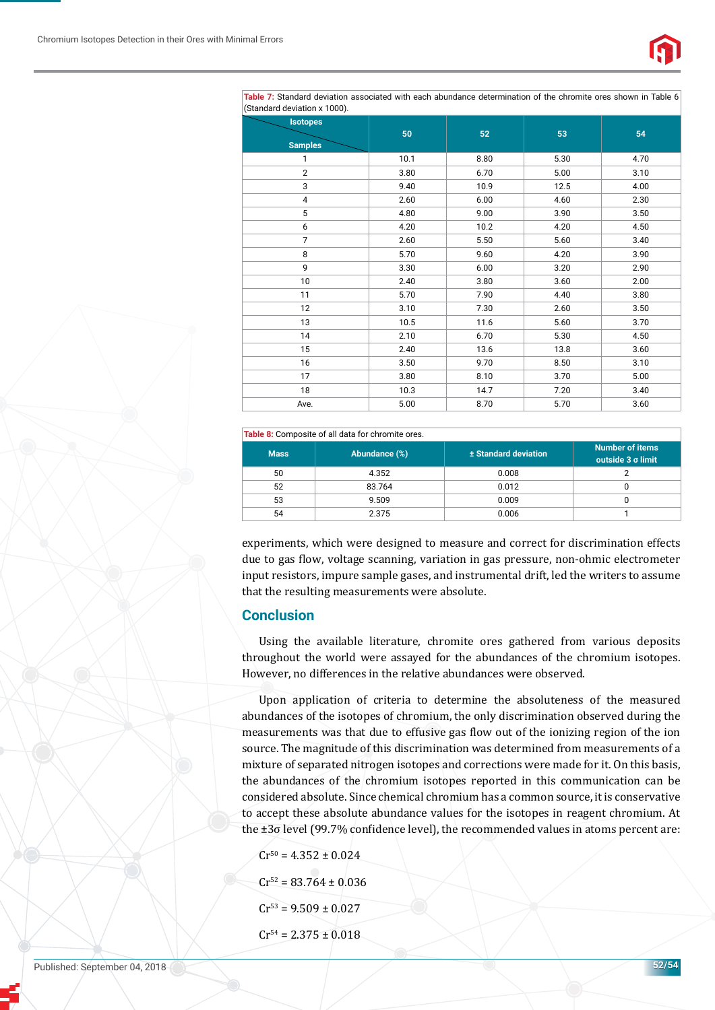

**Table 7:** Standard deviation associated with each abundance determination of the chromite ores shown in Table 6 (Standard deviation x 1000).

| (Stanuaru deviation x Tooo).<br><b>Isotopes</b> |      |      |      |      |
|-------------------------------------------------|------|------|------|------|
|                                                 | 50   | 52   | 53   | 54   |
| <b>Samples</b>                                  |      |      |      |      |
| 1                                               | 10.1 | 8.80 | 5.30 | 4.70 |
| $\overline{2}$                                  | 3.80 | 6.70 | 5.00 | 3.10 |
| 3                                               | 9.40 | 10.9 | 12.5 | 4.00 |
| 4                                               | 2.60 | 6.00 | 4.60 | 2.30 |
| 5                                               | 4.80 | 9.00 | 3.90 | 3.50 |
| 6                                               | 4.20 | 10.2 | 4.20 | 4.50 |
| $\overline{7}$                                  | 2.60 | 5.50 | 5.60 | 3.40 |
| 8                                               | 5.70 | 9.60 | 4.20 | 3.90 |
| 9                                               | 3.30 | 6.00 | 3.20 | 2.90 |
| 10                                              | 2.40 | 3.80 | 3.60 | 2.00 |
| 11                                              | 5.70 | 7.90 | 4.40 | 3.80 |
| 12                                              | 3.10 | 7.30 | 2.60 | 3.50 |
| 13                                              | 10.5 | 11.6 | 5.60 | 3.70 |
| 14                                              | 2.10 | 6.70 | 5.30 | 4.50 |
| 15                                              | 2.40 | 13.6 | 13.8 | 3.60 |
| 16                                              | 3.50 | 9.70 | 8.50 | 3.10 |
| 17                                              | 3.80 | 8.10 | 3.70 | 5.00 |
| 18                                              | 10.3 | 14.7 | 7.20 | 3.40 |
| Ave.                                            | 5.00 | 8.70 | 5.70 | 3.60 |

#### **Table 8:** Composite of all data for chromite ores.

| <b>Mass</b> | Abundance (%) | ± Standard deviation | <b>Number of items</b><br>outside 3 σ limit |
|-------------|---------------|----------------------|---------------------------------------------|
| 50          | 4.352         | 0.008                |                                             |
| 52          | 83.764        | 0.012                |                                             |
| 53          | 9.509         | 0.009                |                                             |
| 54          | 2.375         | 0.006                |                                             |

experiments, which were designed to measure and correct for discrimination effects due to gas ϐlow, voltage scanning, variation in gas pressure, non-ohmic electrometer input resistors, impure sample gases, and instrumental drift, led the writers to assume that the resulting measurements were absolute.

## **Conclusion**

Using the available literature, chromite ores gathered from various deposits throughout the world were assayed for the abundances of the chromium isotopes. However, no differences in the relative abundances were observed.

Upon application of criteria to determine the absoluteness of the measured abundances of the isotopes of chromium, the only discrimination observed during the measurements was that due to effusive gas flow out of the ionizing region of the ion source. The magnitude of this discrimination was determined from measurements of a mixture of separated nitrogen isotopes and corrections were made for it. On this basis, the abundances of the chromium isotopes reported in this communication can be considered absolute. Since chemical chromium has a common source, it is conservative to accept these absolute abundance values for the isotopes in reagent chromium. At the  $\pm 3\sigma$  level (99.7% confidence level), the recommended values in atoms percent are:

- $Cr^{50} = 4.352 \pm 0.024$  $Cr^{52} = 83.764 \pm 0.036$
- $Cr^{53} = 9.509 \pm 0.027$
- $Cr^{54} = 2.375 \pm 0.018$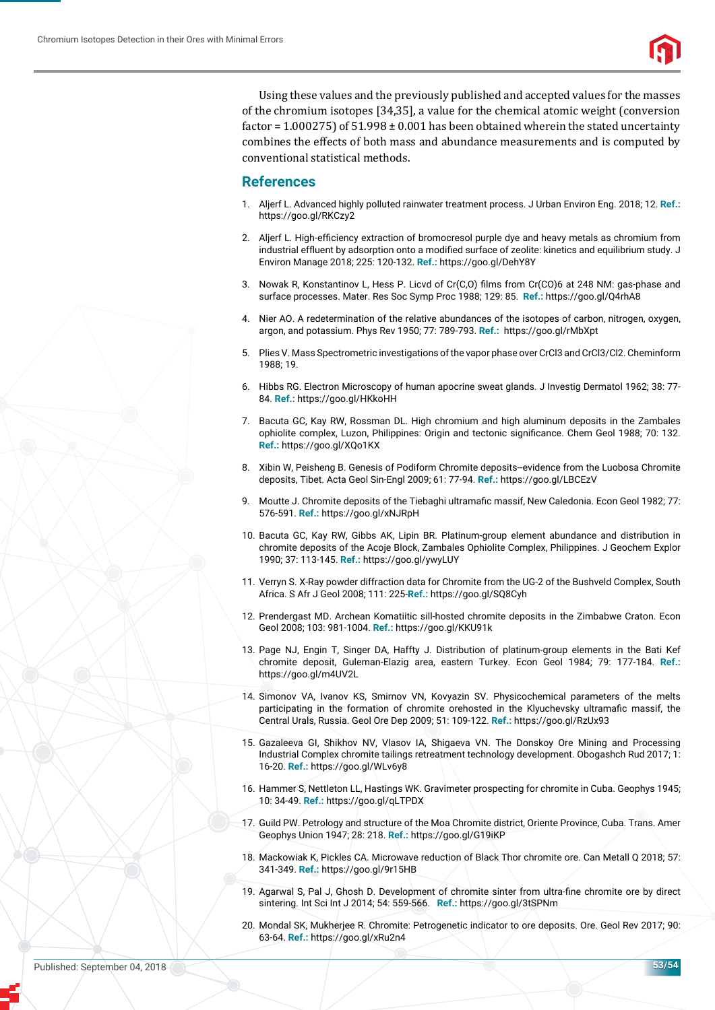

Using these values and the previously published and accepted values for the masses of the chromium isotopes [34,35], a value for the chemical atomic weight (conversion factor =  $1.000275$ ) of  $51.998 \pm 0.001$  has been obtained wherein the stated uncertainty combines the effects of both mass and abundance measurements and is computed by conventional statistical methods.

## **References**

- 1. Aljerf L. Advanced highly polluted rainwater treatment process. J Urban Environ Eng. 2018; 12. **Ref.:** https://goo.gl/RKCzy2
- 2. Aljerf L. High-efficiency extraction of bromocresol purple dye and heavy metals as chromium from industrial effluent by adsorption onto a modified surface of zeolite: kinetics and equilibrium study. J Environ Manage 2018; 225: 120-132. **Ref.:** https://goo.gl/DehY8Y
- 3. Nowak R, Konstantinov L, Hess P. Licvd of Cr(C,O) films from Cr(CO)6 at 248 NM: gas-phase and surface processes. Mater. Res Soc Symp Proc 1988; 129: 85. **Ref.:** https://goo.gl/Q4rhA8
- 4. Nier AO. A redetermination of the relative abundances of the isotopes of carbon, nitrogen, oxygen, argon, and potassium. Phys Rev 1950; 77: 789-793. **Ref.:** https://goo.gl/rMbXpt
- 5. Plies V. Mass Spectrometric investigations of the vapor phase over CrCl3 and CrCl3/Cl2. Cheminform 1988; 19.
- 6. Hibbs RG. Electron Microscopy of human apocrine sweat glands. J Investig Dermatol 1962; 38: 77- 84. **Ref.:** https://goo.gl/HKkoHH
- 7. Bacuta GC, Kay RW, Rossman DL. High chromium and high aluminum deposits in the Zambales ophiolite complex, Luzon, Philippines: Origin and tectonic significance. Chem Geol 1988; 70: 132. **Ref.:** https://goo.gl/XQo1KX
- 8. Xibin W, Peisheng B. Genesis of Podiform Chromite deposits--evidence from the Luobosa Chromite deposits, Tibet. Acta Geol Sin-Engl 2009; 61: 77-94. **Ref.:** https://goo.gl/LBCEzV
- 9. Moutte J. Chromite deposits of the Tiebaghi ultramafic massif, New Caledonia. Econ Geol 1982; 77: 576-591. **Ref.:** https://goo.gl/xNJRpH
- 10. Bacuta GC, Kay RW, Gibbs AK, Lipin BR. Platinum-group element abundance and distribution in chromite deposits of the Acoje Block, Zambales Ophiolite Complex, Philippines. J Geochem Explor 1990; 37: 113-145. **Ref.:** https://goo.gl/ywyLUY
- 11. Verryn S. X-Ray powder diffraction data for Chromite from the UG-2 of the Bushveld Complex, South Africa. S Afr J Geol 2008; 111: 225-**Ref.:** https://goo.gl/SQ8Cyh
- 12. Prendergast MD. Archean Komatiitic sill-hosted chromite deposits in the Zimbabwe Craton. Econ Geol 2008; 103: 981-1004. **Ref.:** https://goo.gl/KKU91k
- 13. Page NJ, Engin T, Singer DA, Haffty J. Distribution of platinum-group elements in the Bati Kef chromite deposit, Guleman-Elazig area, eastern Turkey. Econ Geol 1984; 79: 177-184. **Ref.:** https://goo.gl/m4UV2L
- 14. Simonov VA, Ivanov KS, Smirnov VN, Kovyazin SV. Physicochemical parameters of the melts participating in the formation of chromite orehosted in the Klyuchevsky ultramafic massif, the Central Urals, Russia. Geol Ore Dep 2009; 51: 109-122. **Ref.:** https://goo.gl/RzUx93
- 15. Gazaleeva GI, Shikhov NV, Vlasov IА, Shigaeva VN. The Donskoy Ore Mining and Processing Industrial Complex chromite tailings retreatment technology development. Obogashch Rud 2017; 1: 16-20. **Ref.:** https://goo.gl/WLv6y8
- 16. Hammer S, Nettleton LL, Hastings WK. Gravimeter prospecting for chromite in Cuba. Geophys 1945; 10: 34-49. **Ref.:** https://goo.gl/qLTPDX
- 17. Guild PW. Petrology and structure of the Moa Chromite district, Oriente Province, Cuba. Trans. Amer Geophys Union 1947; 28: 218. **Ref.:** https://goo.gl/G19iKP
- 18. Mackowiak K, Pickles CA. Microwave reduction of Black Thor chromite ore. Can Metall Q 2018; 57: 341-349. **Ref.:** https://goo.gl/9r15HB
- 19. Agarwal S, Pal J, Ghosh D. Development of chromite sinter from ultra-fine chromite ore by direct sintering. Int Sci Int J 2014; 54: 559-566. **Ref.:** https://goo.gl/3tSPNm
- 20. Mondal SK, Mukherjee R. Chromite: Petrogenetic indicator to ore deposits. Ore. Geol Rev 2017; 90: 63-64. **Ref.:** https://goo.gl/xRu2n4